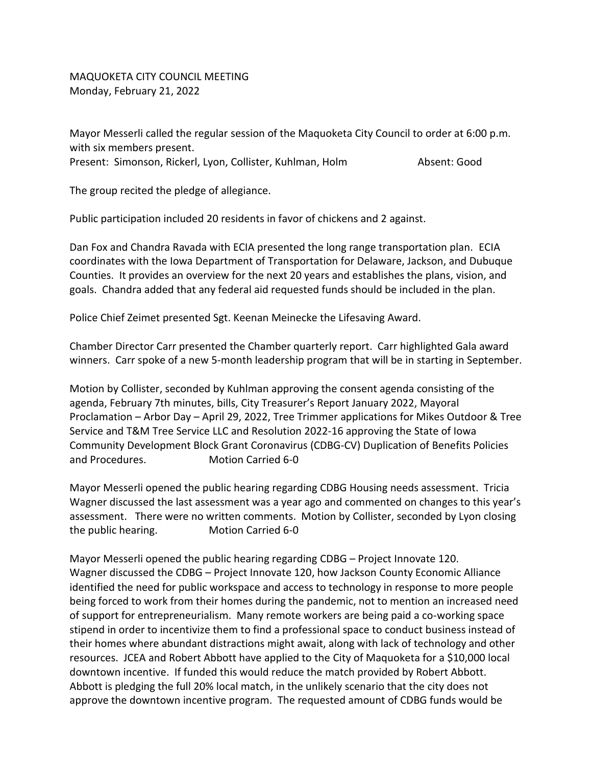MAQUOKETA CITY COUNCIL MEETING Monday, February 21, 2022

Mayor Messerli called the regular session of the Maquoketa City Council to order at 6:00 p.m. with six members present. Present: Simonson, Rickerl, Lyon, Collister, Kuhlman, Holm Absent: Good

The group recited the pledge of allegiance.

Public participation included 20 residents in favor of chickens and 2 against.

Dan Fox and Chandra Ravada with ECIA presented the long range transportation plan. ECIA coordinates with the Iowa Department of Transportation for Delaware, Jackson, and Dubuque Counties. It provides an overview for the next 20 years and establishes the plans, vision, and goals. Chandra added that any federal aid requested funds should be included in the plan.

Police Chief Zeimet presented Sgt. Keenan Meinecke the Lifesaving Award.

Chamber Director Carr presented the Chamber quarterly report. Carr highlighted Gala award winners. Carr spoke of a new 5-month leadership program that will be in starting in September.

Motion by Collister, seconded by Kuhlman approving the consent agenda consisting of the agenda, February 7th minutes, bills, City Treasurer's Report January 2022, Mayoral Proclamation – Arbor Day – April 29, 2022, Tree Trimmer applications for Mikes Outdoor & Tree Service and T&M Tree Service LLC and Resolution 2022-16 approving the State of Iowa Community Development Block Grant Coronavirus (CDBG-CV) Duplication of Benefits Policies and Procedures. Motion Carried 6-0

Mayor Messerli opened the public hearing regarding CDBG Housing needs assessment. Tricia Wagner discussed the last assessment was a year ago and commented on changes to this year's assessment. There were no written comments. Motion by Collister, seconded by Lyon closing the public hearing. Motion Carried 6-0

Mayor Messerli opened the public hearing regarding CDBG – Project Innovate 120. Wagner discussed the CDBG – Project Innovate 120, how Jackson County Economic Alliance identified the need for public workspace and access to technology in response to more people being forced to work from their homes during the pandemic, not to mention an increased need of support for entrepreneurialism. Many remote workers are being paid a co-working space stipend in order to incentivize them to find a professional space to conduct business instead of their homes where abundant distractions might await, along with lack of technology and other resources. JCEA and Robert Abbott have applied to the City of Maquoketa for a \$10,000 local downtown incentive. If funded this would reduce the match provided by Robert Abbott. Abbott is pledging the full 20% local match, in the unlikely scenario that the city does not approve the downtown incentive program. The requested amount of CDBG funds would be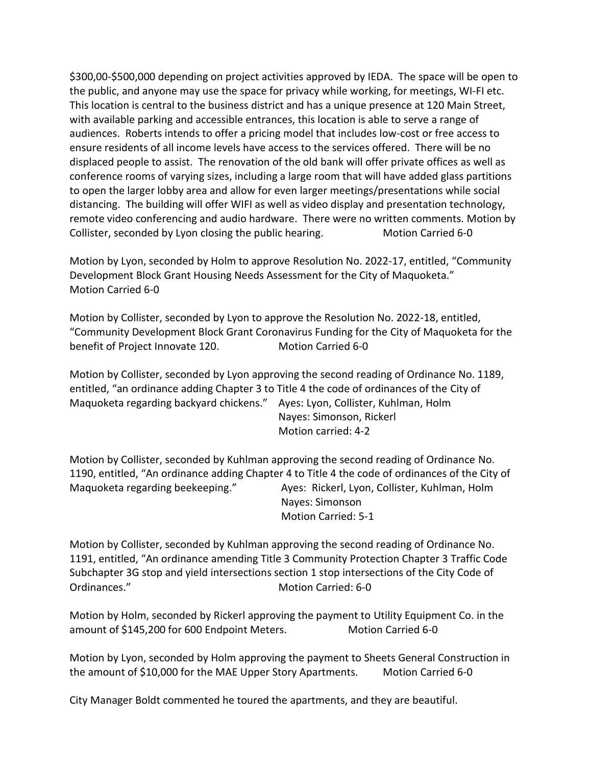\$300,00-\$500,000 depending on project activities approved by IEDA. The space will be open to the public, and anyone may use the space for privacy while working, for meetings, WI-FI etc. This location is central to the business district and has a unique presence at 120 Main Street, with available parking and accessible entrances, this location is able to serve a range of audiences. Roberts intends to offer a pricing model that includes low-cost or free access to ensure residents of all income levels have access to the services offered. There will be no displaced people to assist. The renovation of the old bank will offer private offices as well as conference rooms of varying sizes, including a large room that will have added glass partitions to open the larger lobby area and allow for even larger meetings/presentations while social distancing. The building will offer WIFI as well as video display and presentation technology, remote video conferencing and audio hardware. There were no written comments. Motion by Collister, seconded by Lyon closing the public hearing. Motion Carried 6-0

Motion by Lyon, seconded by Holm to approve Resolution No. 2022-17, entitled, "Community Development Block Grant Housing Needs Assessment for the City of Maquoketa." Motion Carried 6-0

Motion by Collister, seconded by Lyon to approve the Resolution No. 2022-18, entitled, "Community Development Block Grant Coronavirus Funding for the City of Maquoketa for the benefit of Project Innovate 120. Motion Carried 6-0

Motion by Collister, seconded by Lyon approving the second reading of Ordinance No. 1189, entitled, "an ordinance adding Chapter 3 to Title 4 the code of ordinances of the City of Maquoketa regarding backyard chickens." Ayes: Lyon, Collister, Kuhlman, Holm Nayes: Simonson, Rickerl Motion carried: 4-2

Motion by Collister, seconded by Kuhlman approving the second reading of Ordinance No. 1190, entitled, "An ordinance adding Chapter 4 to Title 4 the code of ordinances of the City of Maquoketa regarding beekeeping." Ayes: Rickerl, Lyon, Collister, Kuhlman, Holm Nayes: Simonson Motion Carried: 5-1

Motion by Collister, seconded by Kuhlman approving the second reading of Ordinance No. 1191, entitled, "An ordinance amending Title 3 Community Protection Chapter 3 Traffic Code Subchapter 3G stop and yield intersections section 1 stop intersections of the City Code of Ordinances." Motion Carried: 6-0

Motion by Holm, seconded by Rickerl approving the payment to Utility Equipment Co. in the amount of \$145,200 for 600 Endpoint Meters. Motion Carried 6-0

Motion by Lyon, seconded by Holm approving the payment to Sheets General Construction in the amount of \$10,000 for the MAE Upper Story Apartments. Motion Carried 6-0

City Manager Boldt commented he toured the apartments, and they are beautiful.